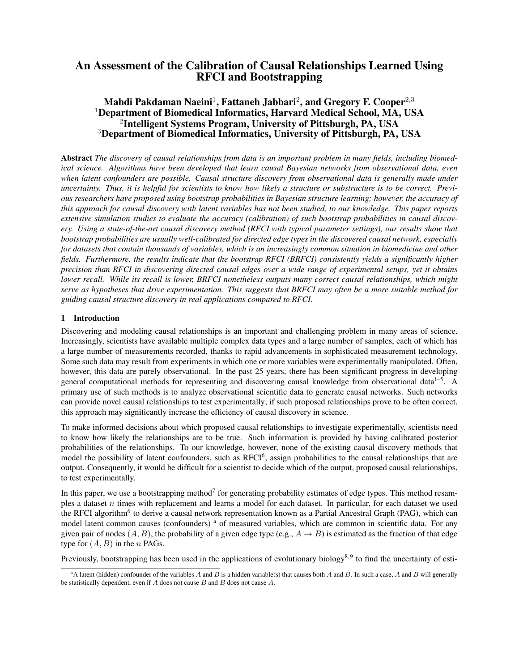# An Assessment of the Calibration of Causal Relationships Learned Using RFCI and Bootstrapping

## Mahdi Pakdaman Naeini<sup>1</sup>, Fattaneh Jabbari<sup>2</sup>, and Gregory F. Cooper $^{2,3}$  $1$ Department of Biomedical Informatics, Harvard Medical School, MA, USA 2 Intelligent Systems Program, University of Pittsburgh, PA, USA <sup>3</sup>Department of Biomedical Informatics, University of Pittsburgh, PA, USA

Abstract *The discovery of causal relationships from data is an important problem in many fields, including biomedical science. Algorithms have been developed that learn causal Bayesian networks from observational data, even when latent confounders are possible. Causal structure discovery from observational data is generally made under uncertainty. Thus, it is helpful for scientists to know how likely a structure or substructure is to be correct. Previous researchers have proposed using bootstrap probabilities in Bayesian structure learning; however, the accuracy of this approach for causal discovery with latent variables has not been studied, to our knowledge. This paper reports extensive simulation studies to evaluate the accuracy (calibration) of such bootstrap probabilities in causal discovery. Using a state-of-the-art causal discovery method (RFCI with typical parameter settings), our results show that bootstrap probabilities are usually well-calibrated for directed edge types in the discovered causal network, especially for datasets that contain thousands of variables, which is an increasingly common situation in biomedicine and other fields. Furthermore, the results indicate that the bootstrap RFCI (BRFCI) consistently yields a significantly higher precision than RFCI in discovering directed causal edges over a wide range of experimental setups, yet it obtains lower recall. While its recall is lower, BRFCI nonetheless outputs many correct causal relationships, which might serve as hypotheses that drive experimentation. This suggests that BRFCI may often be a more suitable method for guiding causal structure discovery in real applications compared to RFCI.*

## 1 Introduction

Discovering and modeling causal relationships is an important and challenging problem in many areas of science. Increasingly, scientists have available multiple complex data types and a large number of samples, each of which has a large number of measurements recorded, thanks to rapid advancements in sophisticated measurement technology. Some such data may result from experiments in which one or more variables were experimentally manipulated. Often, however, this data are purely observational. In the past 25 years, there has been significant progress in developing general computational methods for representing and discovering causal knowledge from observational data<sup>1-5</sup>. A primary use of such methods is to analyze observational scientific data to generate causal networks. Such networks can provide novel causal relationships to test experimentally; if such proposed relationships prove to be often correct, this approach may significantly increase the efficiency of causal discovery in science.

To make informed decisions about which proposed causal relationships to investigate experimentally, scientists need to know how likely the relationships are to be true. Such information is provided by having calibrated posterior probabilities of the relationships. To our knowledge, however, none of the existing causal discovery methods that model the possibility of latent confounders, such as RFCI<sup>6</sup>, assign probabilities to the causal relationships that are output. Consequently, it would be difficult for a scientist to decide which of the output, proposed causal relationships, to test experimentally.

In this paper, we use a bootstrapping method<sup>7</sup> for generating probability estimates of edge types. This method resamples a dataset n times with replacement and learns a model for each dataset. In particular, for each dataset we used the RFCI algorithm<sup>6</sup> to derive a causal network representation known as a Partial Ancestral Graph (PAG), which can model latent common causes (confounders) <sup>a</sup> of measured variables, which are common in scientific data. For any given pair of nodes  $(A, B)$ , the probability of a given edge type (e.g.,  $A \rightarrow B$ ) is estimated as the fraction of that edge type for  $(A, B)$  in the *n* PAGs.

Previously, bootstrapping has been used in the applications of evolutionary biology<sup>8,9</sup> to find the uncertainty of esti-

<sup>&</sup>lt;sup>a</sup>A latent (hidden) confounder of the variables A and B is a hidden variable(s) that causes both A and B. In such a case, A and B will generally be statistically dependent, even if A does not cause B and B does not cause A.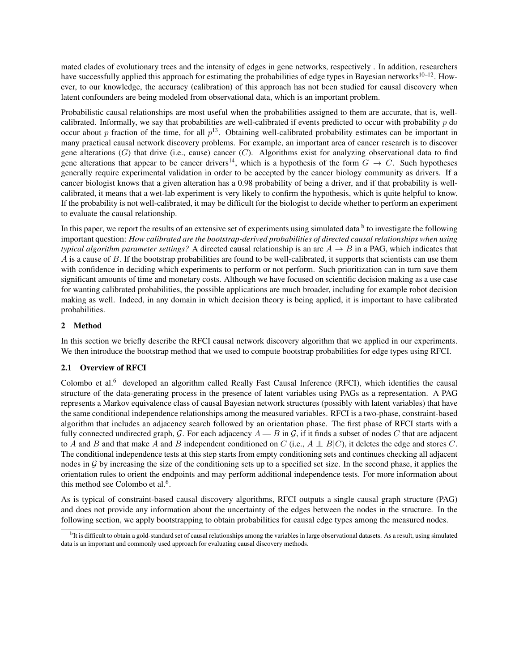mated clades of evolutionary trees and the intensity of edges in gene networks, respectively . In addition, researchers have successfully applied this approach for estimating the probabilities of edge types in Bayesian networks<sup>10–12</sup>. However, to our knowledge, the accuracy (calibration) of this approach has not been studied for causal discovery when latent confounders are being modeled from observational data, which is an important problem.

Probabilistic causal relationships are most useful when the probabilities assigned to them are accurate, that is, wellcalibrated. Informally, we say that probabilities are well-calibrated if events predicted to occur with probability  $p$  do occur about p fraction of the time, for all  $p^{13}$ . Obtaining well-calibrated probability estimates can be important in many practical causal network discovery problems. For example, an important area of cancer research is to discover gene alterations  $(G)$  that drive (i.e., cause) cancer  $(C)$ . Algorithms exist for analyzing observational data to find gene alterations that appear to be cancer drivers<sup>14</sup>, which is a hypothesis of the form  $G \to C$ . Such hypotheses generally require experimental validation in order to be accepted by the cancer biology community as drivers. If a cancer biologist knows that a given alteration has a 0.98 probability of being a driver, and if that probability is wellcalibrated, it means that a wet-lab experiment is very likely to confirm the hypothesis, which is quite helpful to know. If the probability is not well-calibrated, it may be difficult for the biologist to decide whether to perform an experiment to evaluate the causal relationship.

In this paper, we report the results of an extensive set of experiments using simulated data b to investigate the following important question: *How calibrated are the bootstrap-derived probabilities of directed causal relationships when using typical algorithm parameter settings?* A directed causal relationship is an arc  $A \rightarrow B$  in a PAG, which indicates that A is a cause of B. If the bootstrap probabilities are found to be well-calibrated, it supports that scientists can use them with confidence in deciding which experiments to perform or not perform. Such prioritization can in turn save them significant amounts of time and monetary costs. Although we have focused on scientific decision making as a use case for wanting calibrated probabilities, the possible applications are much broader, including for example robot decision making as well. Indeed, in any domain in which decision theory is being applied, it is important to have calibrated probabilities.

## 2 Method

In this section we briefly describe the RFCI causal network discovery algorithm that we applied in our experiments. We then introduce the bootstrap method that we used to compute bootstrap probabilities for edge types using RFCI.

## 2.1 Overview of RFCI

Colombo et al.<sup>6</sup> developed an algorithm called Really Fast Causal Inference (RFCI), which identifies the causal structure of the data-generating process in the presence of latent variables using PAGs as a representation. A PAG represents a Markov equivalence class of causal Bayesian network structures (possibly with latent variables) that have the same conditional independence relationships among the measured variables. RFCI is a two-phase, constraint-based algorithm that includes an adjacency search followed by an orientation phase. The first phase of RFCI starts with a fully connected undirected graph, G. For each adjacency  $A - B$  in G, if it finds a subset of nodes C that are adjacent to A and B and that make A and B independent conditioned on C (i.e.,  $A \perp B|C$ ), it deletes the edge and stores C. The conditional independence tests at this step starts from empty conditioning sets and continues checking all adjacent nodes in  $G$  by increasing the size of the conditioning sets up to a specified set size. In the second phase, it applies the orientation rules to orient the endpoints and may perform additional independence tests. For more information about this method see Colombo et al.<sup>6</sup>.

As is typical of constraint-based causal discovery algorithms, RFCI outputs a single causal graph structure (PAG) and does not provide any information about the uncertainty of the edges between the nodes in the structure. In the following section, we apply bootstrapping to obtain probabilities for causal edge types among the measured nodes.

<sup>&</sup>lt;sup>b</sup>It is difficult to obtain a gold-standard set of causal relationships among the variables in large observational datasets. As a result, using simulated data is an important and commonly used approach for evaluating causal discovery methods.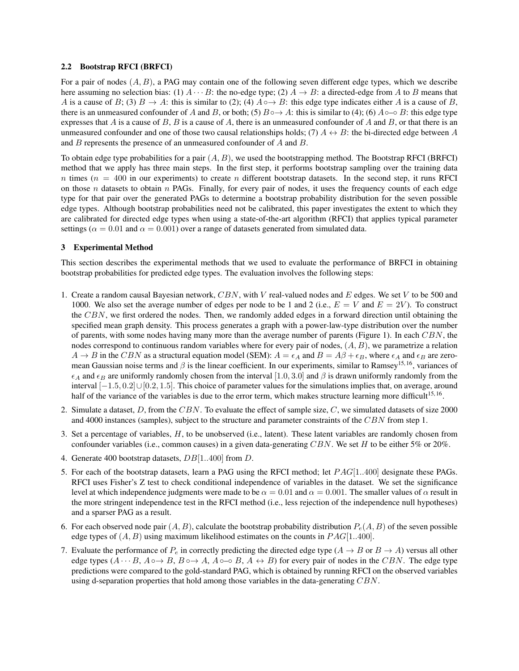#### 2.2 Bootstrap RFCI (BRFCI)

For a pair of nodes  $(A, B)$ , a PAG may contain one of the following seven different edge types, which we describe here assuming no selection bias: (1)  $A \cdots B$ : the no-edge type; (2)  $A \rightarrow B$ : a directed-edge from A to B means that A is a cause of B; (3)  $B \to A$ : this is similar to (2); (4)  $A \circ \to B$ : this edge type indicates either A is a cause of B, there is an unmeasured confounder of A and B, or both; (5)  $B \circ \rightarrow A$ : this is similar to (4); (6)  $A \circ \sim \circ B$ : this edge type expresses that A is a cause of B, B is a cause of A, there is an unmeasured confounder of A and B, or that there is an unmeasured confounder and one of those two causal relationships holds; (7)  $A \leftrightarrow B$ : the bi-directed edge between A and B represents the presence of an unmeasured confounder of A and B.

To obtain edge type probabilities for a pair  $(A, B)$ , we used the bootstrapping method. The Bootstrap RFCI (BRFCI) method that we apply has three main steps. In the first step, it performs bootstrap sampling over the training data n times ( $n = 400$  in our experiments) to create n different bootstrap datasets. In the second step, it runs RFCI on those  $n$  datasets to obtain  $n$  PAGs. Finally, for every pair of nodes, it uses the frequency counts of each edge type for that pair over the generated PAGs to determine a bootstrap probability distribution for the seven possible edge types. Although bootstrap probabilities need not be calibrated, this paper investigates the extent to which they are calibrated for directed edge types when using a state-of-the-art algorithm (RFCI) that applies typical parameter settings ( $\alpha = 0.01$  and  $\alpha = 0.001$ ) over a range of datasets generated from simulated data.

#### 3 Experimental Method

This section describes the experimental methods that we used to evaluate the performance of BRFCI in obtaining bootstrap probabilities for predicted edge types. The evaluation involves the following steps:

- 1. Create a random causal Bayesian network,  $CBN$ , with V real-valued nodes and E edges. We set V to be 500 and 1000. We also set the average number of edges per node to be 1 and 2 (i.e.,  $E = V$  and  $E = 2V$ ). To construct the CBN, we first ordered the nodes. Then, we randomly added edges in a forward direction until obtaining the specified mean graph density. This process generates a graph with a power-law-type distribution over the number of parents, with some nodes having many more than the average number of parents (Figure 1). In each CBN, the nodes correspond to continuous random variables where for every pair of nodes,  $(A, B)$ , we parametrize a relation  $A \to B$  in the CBN as a structural equation model (SEM):  $A = \epsilon_A$  and  $B = A\beta + \epsilon_B$ , where  $\epsilon_A$  and  $\epsilon_B$  are zeromean Gaussian noise terms and  $\beta$  is the linear coefficient. In our experiments, similar to Ramsey<sup>15, 16</sup>, variances of  $\epsilon_A$  and  $\epsilon_B$  are uniformly randomly chosen from the interval [1.0, 3.0] and  $\beta$  is drawn uniformly randomly from the interval [−1.5, 0.2]∪[0.2, 1.5]. This choice of parameter values for the simulations implies that, on average, around half of the variance of the variables is due to the error term, which makes structure learning more difficult<sup>15,16</sup>.
- 2. Simulate a dataset,  $D$ , from the CBN. To evaluate the effect of sample size,  $C$ , we simulated datasets of size 2000 and 4000 instances (samples), subject to the structure and parameter constraints of the CBN from step 1.
- 3. Set a percentage of variables,  $H$ , to be unobserved (i.e., latent). These latent variables are randomly chosen from confounder variables (i.e., common causes) in a given data-generating CBN. We set H to be either 5% or 20%.
- 4. Generate 400 bootstrap datasets, DB[1..400] from D.
- 5. For each of the bootstrap datasets, learn a PAG using the RFCI method; let  $PAG[1..400]$  designate these PAGs. RFCI uses Fisher's Z test to check conditional independence of variables in the dataset. We set the significance level at which independence judgments were made to be  $\alpha = 0.01$  and  $\alpha = 0.001$ . The smaller values of  $\alpha$  result in the more stringent independence test in the RFCI method (i.e., less rejection of the independence null hypotheses) and a sparser PAG as a result.
- 6. For each observed node pair  $(A, B)$ , calculate the bootstrap probability distribution  $P_e(A, B)$  of the seven possible edge types of  $(A, B)$  using maximum likelihood estimates on the counts in  $PAG[1..400]$ .
- 7. Evaluate the performance of  $P_e$  in correctly predicting the directed edge type  $(A \to B$  or  $B \to A)$  versus all other edge types  $(A \cdots B, A \circ \rightarrow B, B \circ \rightarrow A, A \circ \neg \circ B, A \leftrightarrow B)$  for every pair of nodes in the CBN. The edge type predictions were compared to the gold-standard PAG, which is obtained by running RFCI on the observed variables using d-separation properties that hold among those variables in the data-generating  $CBN$ .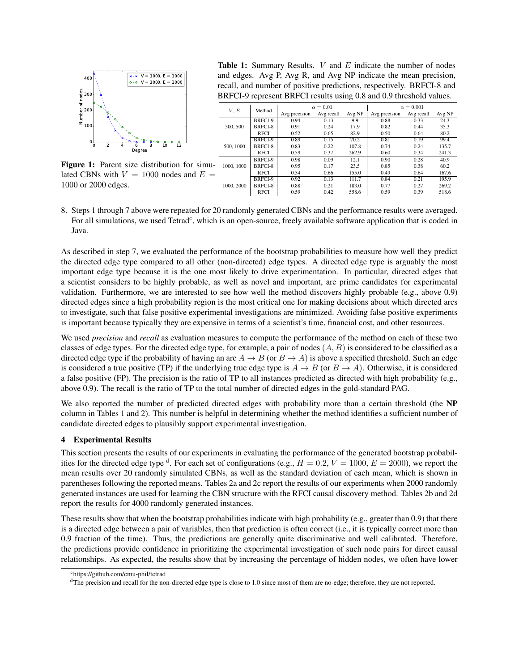

Figure 1: Parent size distribution for simulated CBNs with  $V = 1000$  nodes and  $E =$ 1000 or 2000 edges.

Table 1: Summary Results.  $V$  and  $E$  indicate the number of nodes and edges. Avg<sub>P</sub>, Avg<sub>R</sub>, and Avg<sub>NP</sub> indicate the mean precision, recall, and number of positive predictions, respectively. BRFCI-8 and BRFCI-9 represent BRFCI results using 0.8 and 0.9 threshold values.

| V, E       | Method      |               | $\alpha = 0.01$ |        | $\alpha = 0.001$ |            |        |  |
|------------|-------------|---------------|-----------------|--------|------------------|------------|--------|--|
|            |             | Avg precision | Avg recall      | Avg NP | Avg precision    | Avg recall | Avg NP |  |
| 500, 500   | BRFCI-9     | 0.94          | 0.13            | 9.9    | 0.88             | 0.33       | 24.3   |  |
|            | BRFCI-8     | 0.91          | 0.24            | 17.9   | 0.82             | 0.44       | 35.3   |  |
|            | <b>RFCI</b> | 0.52          | 0.65            | 82.9   | 0.50             | 0.64       | 80.2   |  |
| 500, 1000  | BRFCI-9     | 0.89          | 0.15            | 70.2   | 0.81             | 0.19       | 99.4   |  |
|            | BRFCI-8     | 0.83          | 0.22            | 107.8  | 0.74             | 0.24       | 135.7  |  |
|            | <b>RFCI</b> | 0.59          | 0.37            | 262.9  | 0.60             | 0.34       | 241.3  |  |
| 1000, 1000 | BRFCI-9     | 0.98          | 0.09            | 12.1   | 0.90             | 0.28       | 40.9   |  |
|            | BRFCI-8     | 0.95          | 0.17            | 23.5   | 0.85             | 0.38       | 60.2   |  |
|            | <b>RFCI</b> | 0.54          | 0.66            | 155.0  | 0.49             | 0.64       | 167.6  |  |
| 1000, 2000 | BRFCI-9     | 0.92          | 0.13            | 111.7  | 0.84             | 0.21       | 195.9  |  |
|            | BRFCI-8     | 0.88          | 0.21            | 183.0  | 0.77             | 0.27       | 269.2  |  |
|            | <b>RFCI</b> | 0.59          | 0.42            | 558.6  | 0.59             | 0.39       | 518.6  |  |

8. Steps 1 through 7 above were repeated for 20 randomly generated CBNs and the performance results were averaged. For all simulations, we used Tetrad<sup>c</sup>, which is an open-source, freely available software application that is coded in Java.

As described in step 7, we evaluated the performance of the bootstrap probabilities to measure how well they predict the directed edge type compared to all other (non-directed) edge types. A directed edge type is arguably the most important edge type because it is the one most likely to drive experimentation. In particular, directed edges that a scientist considers to be highly probable, as well as novel and important, are prime candidates for experimental validation. Furthermore, we are interested to see how well the method discovers highly probable (e.g., above 0.9) directed edges since a high probability region is the most critical one for making decisions about which directed arcs to investigate, such that false positive experimental investigations are minimized. Avoiding false positive experiments is important because typically they are expensive in terms of a scientist's time, financial cost, and other resources.

We used *precision* and *recall* as evaluation measures to compute the performance of the method on each of these two classes of edge types. For the directed edge type, for example, a pair of nodes  $(A, B)$  is considered to be classified as a directed edge type if the probability of having an arc  $A \rightarrow B$  (or  $B \rightarrow A$ ) is above a specified threshold. Such an edge is considered a true positive (TP) if the underlying true edge type is  $A \rightarrow B$  (or  $B \rightarrow A$ ). Otherwise, it is considered a false positive (FP). The precision is the ratio of TP to all instances predicted as directed with high probability (e.g., above 0.9). The recall is the ratio of TP to the total number of directed edges in the gold-standard PAG.

We also reported the number of predicted directed edges with probability more than a certain threshold (the NP column in Tables 1 and 2). This number is helpful in determining whether the method identifies a sufficient number of candidate directed edges to plausibly support experimental investigation.

### 4 Experimental Results

This section presents the results of our experiments in evaluating the performance of the generated bootstrap probabilities for the directed edge type <sup>d</sup>. For each set of configurations (e.g.,  $H = 0.2$ ,  $V = 1000$ ,  $E = 2000$ ), we report the mean results over 20 randomly simulated CBNs, as well as the standard deviation of each mean, which is shown in parentheses following the reported means. Tables 2a and 2c report the results of our experiments when 2000 randomly generated instances are used for learning the CBN structure with the RFCI causal discovery method. Tables 2b and 2d report the results for 4000 randomly generated instances.

These results show that when the bootstrap probabilities indicate with high probability (e.g., greater than 0.9) that there is a directed edge between a pair of variables, then that prediction is often correct (i.e., it is typically correct more than 0.9 fraction of the time). Thus, the predictions are generally quite discriminative and well calibrated. Therefore, the predictions provide confidence in prioritizing the experimental investigation of such node pairs for direct causal relationships. As expected, the results show that by increasing the percentage of hidden nodes, we often have lower

<sup>c</sup>https://github.com/cmu-phil/tetrad

<sup>&</sup>lt;sup>d</sup>The precision and recall for the non-directed edge type is close to 1.0 since most of them are no-edge; therefore, they are not reported.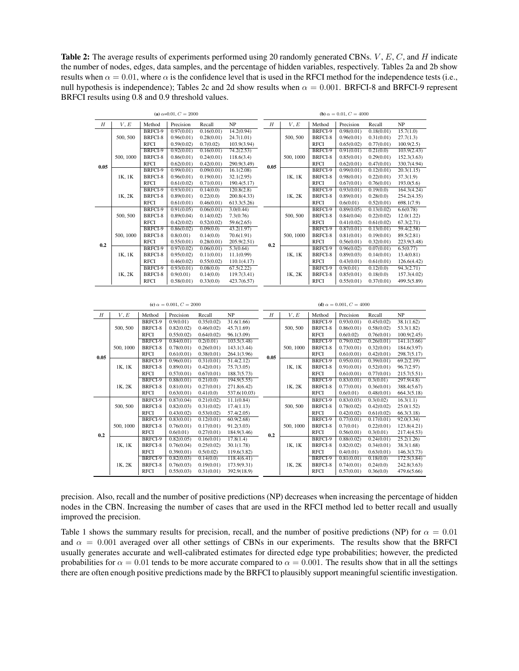**Table 2:** The average results of experiments performed using 20 randomly generated CBNs.  $V, E, C$ , and  $H$  indicate the number of nodes, edges, data samples, and the percentage of hidden variables, respectively. Tables 2a and 2b show results when  $\alpha = 0.01$ , where  $\alpha$  is the confidence level that is used in the RFCI method for the independence tests (i.e., null hypothesis is independence); Tables 2c and 2d show results when  $\alpha = 0.001$ . BRFCI-8 and BRFCI-9 represent BRFCI results using 0.8 and 0.9 threshold values.

 $H$  V, E Method Precision Recall NP<br>RECI-9 0.970.01) 0.160.01) 14. 0.05 500, 500  $\begin{array}{|l|c|c|c|c|} \hline \text{BRFCI-9} & 0.97(0.01) & 0.16(0.01) & 14.2(0.94) \\ \hline \text{BRFCI-8} & 0.96(0.01) & 0.28(0.01) & 24.7(1.01) \\ \hline \end{array}$ BRFCI-8 0.96(0.01) 0.28(0.01) 24.7(1.01)<br>RFCI 0.59(0.02) 0.7(0.02) 103.9(3.94  $\frac{0.59(0.02)}{0.92(0.01)}$   $\frac{0.7(0.02)}{0.16(0.01)}$   $\frac{103.9(3.94)}{74.2(2.53)}$ 500, 1000  $\begin{array}{|l|c|c|c|c|c|c|c|} \hline \text{BRFCI-9} & 0.92(0.01) & 0.16(0.01) & 74.2(2.53) \\ \hline \text{BRFCI-8} & 0.86(0.01) & 0.24(0.01) & 118.6(3.4) \\ \hline \end{array}$ BRFCI-8 0.86(0.01) 0.24(0.01) 118.6(3.4)<br>RFCI 0.62(0.01) 0.42(0.01) 290.9(3.49)  $\frac{0.62(0.01)}{0.99(0.01)}$   $\frac{0.42(0.01)}{0.09(0.01)}$   $\frac{290.9(3.49)}{16.1(2.08)}$ 1K, 1K BRFCI-9 0.99(0.01) 0.09(0.01) 16.1(2.08)<br>BRFCI-8 0.96(0.01) 0.19(0.01) 32.1(2.95)  $\begin{array}{c|cc}\n\text{BRFCI-8} & 0.96(0.01) & 0.19(0.01) \\
\text{RFCI} & 0.61(0.02) & 0.71(0.01)\n\end{array}$ RFCI 0.61(0.02) 0.71(0.01) 190.4(5.17)<br>RRFCI-9 0.93(0.01) 0.14(0.0) 120.8(2.8) 1K, 2K  $\begin{tabular}{l|cc} BRFCI-9 & 0.93(0.01) & 0.14(0.0) & 120.8(2.8) \\ BRFCI-8 & 0.89(0.01) & 0.22(0.0) & 200.8(4.33) \\ \end{tabular}$ BRFCI-8 0.89(0.01) 0.22(0.0) 200.8(4.33)<br>RFCI 0.61(0.01) 0.46(0.01) 613.3(5.26) RFCI 0.61(0.01) 0.46(0.01) 613.3(5.26)<br>RRFCI-9 0.91(0.05) 0.06(0.01) 3.0(0.44) 0.2 500, 500  $\begin{tabular}{l|cccc} BRFCI-9 & 0.91(0.05) & 0.06(0.01) & 3.0(0.44) \\ BRFCI-8 & 0.89(0.04) & 0.14(0.02) & 7.3(0.76) \\ \end{tabular}$ BRFCI-8 0.89(0.04) 0.14(0.02) 7.3(0.76)<br>RECI 0.42(0.02) 0.52(0.02) 59.6(2.65) RFCI 0.42(0.02) 0.52(0.02)<br>BRFCI-9 0.86(0.02) 0.09(0.0) 500, 1000  $\begin{array}{|l|c|c|c|c|c|} \hline \text{BRFCI-9} & 0.86(0.02) & 0.09(0.0) & 43.2(1.97) \\ \hline \text{BRFCI-8} & 0.8(0.01) & 0.14(0.0) & 70.6(1.91) \\ \hline \end{array}$ BRFCI-8 0.8(0.01) 0.14(0.0) 70.6(1.91)<br>RFCI 0.55(0.01) 0.28(0.01) 205.9(2.51  $\frac{\text{RFCI}}{\text{BRFCI-9}} \quad \frac{0.55(0.01)}{0.97(0.02)} \quad \frac{0.28(0.01)}{0.06(0.01)} \quad \frac{205.9(2.51)}{5.3(0.64)}$ 1K, 1K  $\begin{tabular}{l|cc} BRFCI-9 & 0.97(0.02) & 0.06(0.01) \\ BRFCI-8 & 0.95(0.02) & 0.11(0.01) \\ \end{tabular}$  $\begin{array}{c|cc}\n\text{BRFCI-8} & 0.95(0.02) & 0.11(0.01) & 11.1(0.99) \\
\text{RFCI} & 0.46(0.02) & 0.55(0.02) & 110.1(4.17)\n\end{array}$ RFCI 0.46(0.02) 0.55(0.02)<br>BRFCI-9 0.93(0.01) 0.08(0.0) 1K, 2K BRFCI-9 0.93(0.01) 0.08(0.0) 67.5(2.22)<br>BRFCI-8 0.9(0.01) 0.14(0.0) 119.7(3.41 BRFCI-8 0.9(0.01) 0.14(0.0) 119.7(3.41)<br>RFCI 0.58(0.01) 0.33(0.0) 423.7(6.57) 423.7(6.57) (**b**)  $\alpha = 0.01, C = 4000$ *H V*, *E* Method Precision Recall NP<br>REFCI-9 0.98(0.01) 0.18(0.01) 15.7(1.0) 0.05 500, 500 BRFCI-9 0.98(0.01) 0.18(0.01)<br>BRFCI-8 0.96(0.01) 0.31(0.01) BRFCI-8 0.96(0.01) 0.31(0.01) 27.7(1.3)<br>RFCI 0.65(0.02) 0.77(0.01) 100.9(2.5) RFCI 0.65(0.02) 0.77(0.01)<br>BRFCI-9 0.91(0.01) 0.21(0.0) 500, 1000 BRFCI-9 0.91(0.01) 0.21(0.0) 103.9(2.43)<br>BRFCI-8 0.85(0.01) 0.29(0.01) 152.3(3.63) BRFCI-8 0.85(0.01) 0.29(0.01) 152.3(3.63)<br>RFCI 0.62(0.01) 0.47(0.01) 330.7(4.94) RFCI 0.62(0.01) 0.47(0.01) 330.7(4.94)<br>BRFCI-9 0.99(0.01) 0.12(0.01) 20.3(1.15) 1K, 1K  $\begin{tabular}{l|cc} BRFCI-9 & 0.99(0.01) & 0.12(0.01) & 20.3(1.15) \\ BRFCI-8 & 0.98(0.01) & 0.22(0.01) & 37.3(1.9) \\ \end{tabular}$ BRFCI-8 0.98(0.01) 0.22(0.01) 37.3(1.9)<br>RFCI 0.67(0.01) 0.76(0.01) 193.0(5.6) RFCI 0.67(0.01) 0.76(0.01<br>REFCI-9 0.93(0.01) 0.19(0.0) 1K, 2K BRFCI-9 0.93(0.01) 0.19(0.0) 164.3(4.24)<br>BRFCI-8 0.89(0.01) 0.28(0.0) 254.2(4.35)  $\begin{array}{c|cc}\n\text{BRFCI-8} & 0.89(0.01) & 0.28(0.0) & 254.2(4.35) \\
\text{RFCI} & 0.6(0.01) & 0.52(0.01) & 698.1(7.9)\n\end{array}$ RFCI 0.6(0.01) 0.52(0.01) 698.1(7.9)<br>RRFCI-9 0.89(0.05) 0.13(0.02) 6.6(0.78) 0.2 500, 500 BRFCI-9 0.89(0.05) 0.13(0.02) 6.6(0.78)<br>BRFCI-8 0.84(0.04) 0.22(0.02) 12.0(1.22)  $\begin{array}{c|cc}\n\text{BRFCI-8} & 0.84(0.04) & 0.22(0.02) & 12.0(1.22) \\
\text{RFCI} & 0.41(0.02) & 0.61(0.02) & 67.3(2.71)\n\end{array}$ RFCI 0.41(0.02)<br>BRFCI-9 0.87(0.01) 500, 1000 BRFCI-9 0.87(0.01) 0.13(0.01) 59.4(2.58)<br>BRFCI-8 0.81(0.01) 0.19(0.01) 89.5(2.81) BRFCI-8 0.81(0.01) 0.19(0.01)<br>RFCI 0.56(0.01) 0.32(0.01)  $\begin{tabular}{c|cccc} RFCI & 0.56(0.01) & 0.32(0.01) & 223.9(3.48) \\ \hline BRFCI-9 & 0.96(0.02) & 0.07(0.01) & 6.5(0.77) \\ \end{tabular}$ 1K, 1K  $\begin{tabular}{l|cc} BRFCI-9 & 0.96(0.02) & 0.07(0.01) & 6.5(0.77) \\ BRFCI-8 & 0.89(0.03) & 0.14(0.01) & 13.4(0.81) \\ \end{tabular}$ BRFCI-8 0.89(0.03) 0.14(0.01)<br>RFCI 0.43(0.01) 0.61(0.01)  $\frac{0.43(0.01)}{0.9(0.01)}$   $\frac{0.61(0.01)}{0.12(0.0)}$   $\frac{126.6(4.42)}{94.3(2.71)}$ 1K, 2K  $\begin{tabular}{l|cc} BRFCI-9 & 0.9(0.01) & 0.12(0.0) & 94.3(2.71) \\ BRFCI-8 & 0.85(0.01) & 0.18(0.0) & 157.3(4.02) \\ \end{tabular}$ BRFCI-8 0.85(0.01) 0.18(0.0)<br>RFCI 0.55(0.01) 0.37(0.01) 499.5(5.89)

 $0.001, C$ 

(a)  $\alpha$ =0.01,  $C = 2000$ 

| (c) $\alpha = 0.001, C = 2000$ |           |             |            |            | (d) $\alpha = 0.001$ , $C = 4000$ |      |           |             |            |            |             |
|--------------------------------|-----------|-------------|------------|------------|-----------------------------------|------|-----------|-------------|------------|------------|-------------|
| H                              | V, E      | Method      | Precision  | Recall     | NP                                | H    | V, E      | Method      | Precision  | Recall     | NP          |
| 0.05                           | 500, 500  | BRFCI-9     | 0.9(0.01)  | 0.35(0.02) | 31.6(1.66)                        | 0.05 | 500, 500  | BRFCI-9     | 0.93(0.01) | 0.45(0.02) | 38.1(1.62)  |
|                                |           | BRFCI-8     | 0.82(0.02) | 0.46(0.02) | 45.7(1.69)                        |      |           | BRFCI-8     | 0.86(0.01) | 0.58(0.02) | 53.3(1.82)  |
|                                |           | <b>RFCI</b> | 0.55(0.02) | 0.64(0.02) | 96.1(3.09)                        |      |           | <b>RFCI</b> | 0.6(0.02)  | 0.76(0.01) | 100.9(2.45) |
|                                | 500, 1000 | BRFCI-9     | 0.84(0.01) | 0.2(0.01)  | 103.5(3.48)                       |      | 500, 1000 | BRFCI-9     | 0.79(0.02) | 0.26(0.01) | 141.1(3.66) |
|                                |           | BRFCI-8     | 0.78(0.01) | 0.26(0.01) | 143.1(3.44)                       |      |           | BRFCI-8     | 0.73(0.01) | 0.32(0.01) | 184.6(3.97) |
|                                |           | <b>RFCI</b> | 0.61(0.01) | 0.38(0.01) | 264.1(3.96)                       |      |           | <b>RFCI</b> | 0.61(0.01) | 0.42(0.01) | 298.7(5.17) |
|                                | 1K, 1K    | BRFCI-9     | 0.96(0.01) | 0.31(0.01) | 51.4(2.12)                        |      | 1K, 1K    | BRFCI-9     | 0.95(0.01) | 0.39(0.01) | 69.2(2.19)  |
|                                |           | BRFCI-8     | 0.89(0.01) | 0.42(0.01) | 75.7(3.05)                        |      |           | BRFCI-8     | 0.91(0.01) | 0.52(0.01) | 96.7(2.97)  |
|                                |           | <b>RFCI</b> | 0.57(0.01) | 0.67(0.01) | 188.7(5.73)                       |      |           | <b>RFCI</b> | 0.61(0.01) | 0.77(0.01) | 215.7(5.51) |
|                                | 1K, 2K    | BRFCI-9     | 0.88(0.01) | 0.21(0.0)  | 194.9(5.55)                       |      | 1K, 2K    | BRFCI-9     | 0.83(0.01) | 0.3(0.01)  | 297.9(4.8)  |
|                                |           | BRFCI-8     | 0.81(0.01) | 0.27(0.01) | 271.8(6.42)                       |      |           | BRFCI-8     | 0.77(0.01) | 0.36(0.01) | 388.4(5.67) |
|                                |           | <b>RFCI</b> | 0.63(0.01) | 0.41(0.0)  | 537.6(10.03)                      |      |           | <b>RFCI</b> | 0.6(0.01)  | 0.48(0.01) | 664.3(5.18) |
| 0.2                            | 500, 500  | BRFCI-9     | 0.87(0.04) | 0.21(0.02) | 11.1(0.84)                        | 0.2  | 500, 500  | BRFCI-9     | 0.83(0.03) | 0.3(0.02)  | 16.3(1.1)   |
|                                |           | BRFCI-8     | 0.82(0.03) | 0.31(0.02) | 17.4(1.13)                        |      |           | BRFCI-8     | 0.78(0.02) | 0.42(0.02) | 25.0(1.52)  |
|                                |           | <b>RFCI</b> | 0.43(0.02) | 0.53(0.02) | 57.4(2.05)                        |      |           | <b>RFCI</b> | 0.42(0.02) | 0.61(0.02) | 66.3(3.18)  |
|                                | 500, 1000 | BRFCI-9     | 0.83(0.01) | 0.12(0.01) | 60.9(2.68)                        |      | 500, 1000 | BRFCI-9     | 0.77(0.01) | 0.17(0.01) | 92.0(3.34)  |
|                                |           | BRFCI-8     | 0.76(0.01) | 0.17(0.01) | 91.2(3.03)                        |      |           | BRFCI-8     | 0.7(0.01)  | 0.22(0.01) | 123.8(4.21) |
|                                |           | <b>RFCI</b> | 0.6(0.01)  | 0.27(0.01) | 184.9(3.46)                       |      |           | <b>RFCI</b> | 0.56(0.01) | 0.3(0.01)  | 217.4(4.53) |
|                                | 1K, 1K    | BRFCI-9     | 0.82(0.05) | 0.16(0.01) | 17.8(1.4)                         |      | 1K, 1K    | BRFCI-9     | 0.88(0.02) | 0.24(0.01) | 25.2(1.26)  |
|                                |           | BRFCI-8     | 0.76(0.04) | 0.25(0.02) | 30.1(1.78)                        |      |           | BRFCI-8     | 0.82(0.02) | 0.34(0.01) | 38.3(1.68)  |
|                                |           | <b>RFCI</b> | 0.39(0.01) | 0.5(0.02)  | 119.6(3.82)                       |      |           | <b>RFCI</b> | 0.4(0.01)  | 0.63(0.01) | 146.3(3.73) |
|                                | 1K, 2K    | BRFCI-9     | 0.82(0.03) | 0.14(0.0)  | 118.4(6.41)                       |      | 1K, 2K    | BRFCI-9     | 0.81(0.01) | 0.18(0.0)  | 172.5(3.84) |
|                                |           | BRFCI-8     | 0.76(0.03) | 0.19(0.01) | 173.9(9.31)                       |      |           | BRFCI-8     | 0.74(0.01) | 0.24(0.0)  | 242.8(3.63) |
|                                |           | <b>RFCI</b> | 0.55(0.03) | 0.31(0.01) | 392.9(18.9)                       |      |           | <b>RFCI</b> | 0.57(0.01) | 0.36(0.0)  | 479.6(5.66) |

precision. Also, recall and the number of positive predictions (NP) decreases when increasing the percentage of hidden nodes in the CBN. Increasing the number of cases that are used in the RFCI method led to better recall and usually improved the precision.

Table 1 shows the summary results for precision, recall, and the number of positive predictions (NP) for  $\alpha = 0.01$ and  $\alpha = 0.001$  averaged over all other settings of CBNs in our experiments. The results show that the BRFCI usually generates accurate and well-calibrated estimates for directed edge type probabilities; however, the predicted probabilities for  $\alpha = 0.01$  tends to be more accurate compared to  $\alpha = 0.001$ . The results show that in all the settings there are often enough positive predictions made by the BRFCI to plausibly support meaningful scientific investigation.